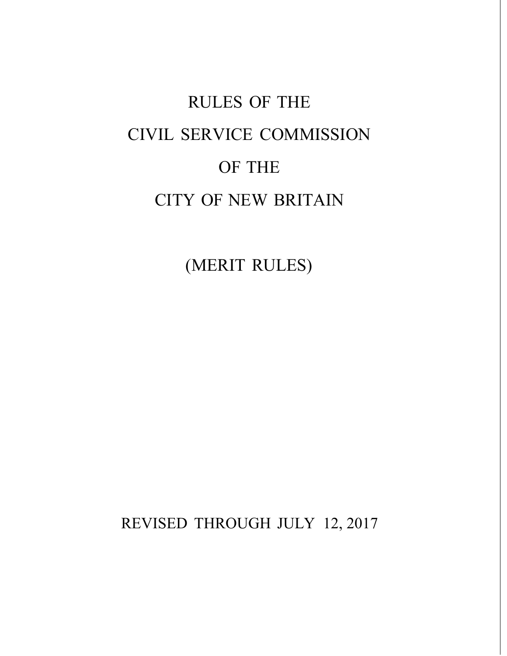# RULES OF THE CIVIL SERVICE COMMISSION OF THE CITY OF NEW BRITAIN

(MERIT RULES)

REVISED THROUGH JULY 12, 2017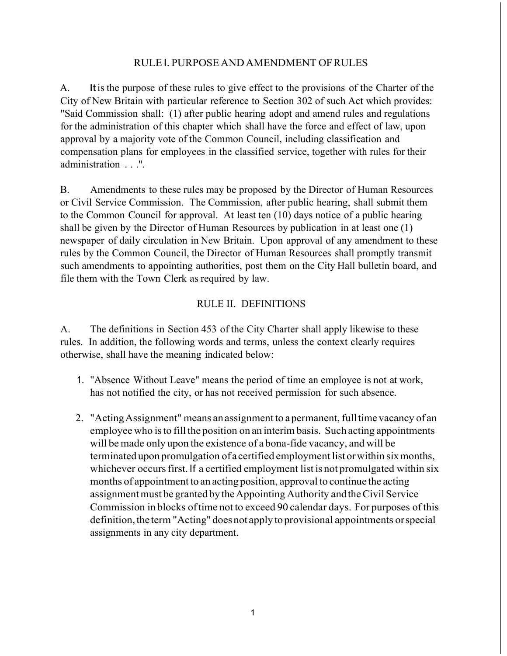## RULEI. PURPOSE ANDAMENDMENT OFRULES

A. Itis the purpose of these rules to give effect to the provisions of the Charter of the City of New Britain with particular reference to Section 302 of such Act which provides: "Said Commission shall: (1) after public hearing adopt and amend rules and regulations for the administration of this chapter which shall have the force and effect of law, upon approval by a majority vote of the Common Council, including classification and compensation plans for employees in the classified service, together with rules for their administration . . .".

B. Amendments to these rules may be proposed by the Director of Human Resources or Civil Service Commission. The Commission, after public hearing, shall submit them to the Common Council for approval. At least ten (10) days notice of a public hearing shall be given by the Director of Human Resources by publication in at least one (1) newspaper of daily circulation in New Britain. Upon approval of any amendment to these rules by the Common Council, the Director of Human Resources shall promptly transmit such amendments to appointing authorities, post them on the City Hall bulletin board, and file them with the Town Clerk as required by law.

## RULE II. DEFINITIONS

A. The definitions in Section 453 of the City Charter shall apply likewise to these rules. In addition, the following words and terms, unless the context clearly requires otherwise, shall have the meaning indicated below:

- 1. "Absence Without Leave" means the period of time an employee is not at work, has not notified the city, or has not received permission for such absence.
- 2. "ActingAssignment" means anassignment to apermanent, fulltime vacancy of an employee who is to fill the position on an interim basis. Such acting appointments will be made only upon the existence of a bona-fide vacancy, and will be terminated upon promulgation of a certified employment list orwithin sixmonths, whichever occurs first. If a certified employment list is not promulgated within six months of appointment to an acting position, approval to continue the acting assignment must be granted by the Appointing Authority and the Civil Service Commission in blocks oftime not to exceed 90 calendar days. For purposes ofthis definition, the term "Acting" does not apply to provisional appointments or special assignments in any city department.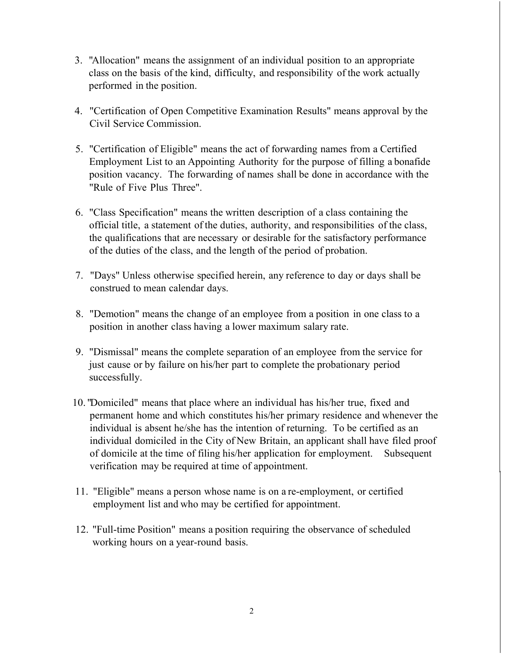- 3. "Allocation" means the assignment of an individual position to an appropriate class on the basis of the kind, difficulty, and responsibility of the work actually performed in the position.
- 4. "Certification of Open Competitive Examination Results" means approval by the Civil Service Commission.
- 5. "Certification of Eligible" means the act of forwarding names from a Certified Employment List to an Appointing Authority for the purpose of filling a bonafide position vacancy. The forwarding of names shall be done in accordance with the "Rule of Five Plus Three".
- 6. "Class Specification" means the written description of a class containing the official title, a statement of the duties, authority, and responsibilities of the class, the qualifications that are necessary or desirable for the satisfactory performance of the duties of the class, and the length of the period of probation.
- 7. "Days" Unless otherwise specified herein, any reference to day or days shall be construed to mean calendar days.
- 8. "Demotion" means the change of an employee from a position in one class to a position in another class having a lower maximum salary rate.
- 9. "Dismissal" means the complete separation of an employee from the service for just cause or by failure on his/her part to complete the probationary period successfully.
- 10. "Domiciled" means that place where an individual has his/her true, fixed and permanent home and which constitutes his/her primary residence and whenever the individual is absent he/she has the intention of returning. To be certified as an individual domiciled in the City of New Britain, an applicant shall have filed proof of domicile at the time of filing his/her application for employment. Subsequent verification may be required at time of appointment.
- 11. "Eligible" means a person whose name is on a re-employment, or certified employment list and who may be certified for appointment.
- 12. "Full-time Position" means a position requiring the observance of scheduled working hours on a year-round basis.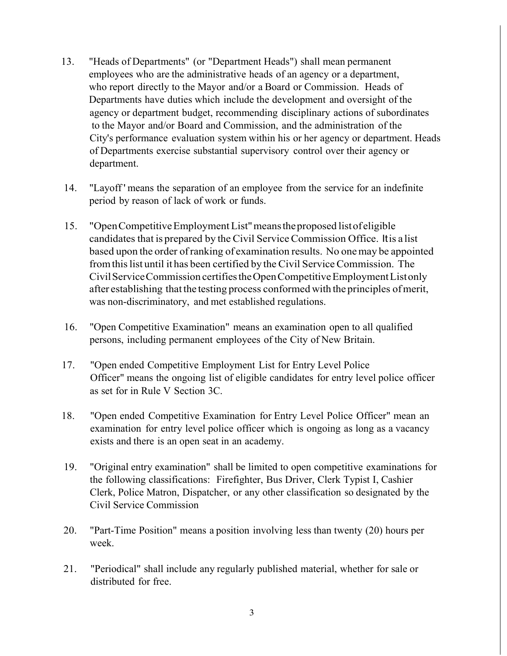- 13. "Heads of Departments" (or "Department Heads") shall mean permanent employees who are the administrative heads of an agency or a department, who report directly to the Mayor and/or a Board or Commission. Heads of Departments have duties which include the development and oversight of the agency or department budget, recommending disciplinary actions of subordinates to the Mayor and/or Board and Commission, and the administration of the City's performance evaluation system within his or her agency or department. Heads of Departments exercise substantial supervisory control over their agency or department.
- 14. "Layoff ' means the separation of an employee from the service for an indefinite period by reason of lack of work or funds.
- 15. "OpenCompetitiveEmploymentList"meanstheproposed listofeligible candidates that is prepared by the Civil ServiceCommission Office. Itis a list based upon the order ofranking of examination results. No onemay be appointed from this list until it has been certified by the Civil Service Commission. The CivilServiceCommission certifiestheOpenCompetitiveEmploymentListonly after establishing thatthe testing process conformed with the principles ofmerit, was non-discriminatory, and met established regulations.
- 16. "Open Competitive Examination" means an examination open to all qualified persons, including permanent employees of the City of New Britain.
- 17. "Open ended Competitive Employment List for Entry Level Police Officer" means the ongoing list of eligible candidates for entry level police officer as set for in Rule V Section 3C.
- 18. "Open ended Competitive Examination for Entry Level Police Officer" mean an examination for entry level police officer which is ongoing as long as a vacancy exists and there is an open seat in an academy.
- 19. "Original entry examination" shall be limited to open competitive examinations for the following classifications: Firefighter, Bus Driver, Clerk Typist I, Cashier Clerk, Police Matron, Dispatcher, or any other classification so designated by the Civil Service Commission
- 20. "Part-Time Position" means a position involving less than twenty (20) hours per week.
- 21. "Periodical" shall include any regularly published material, whether for sale or distributed for free.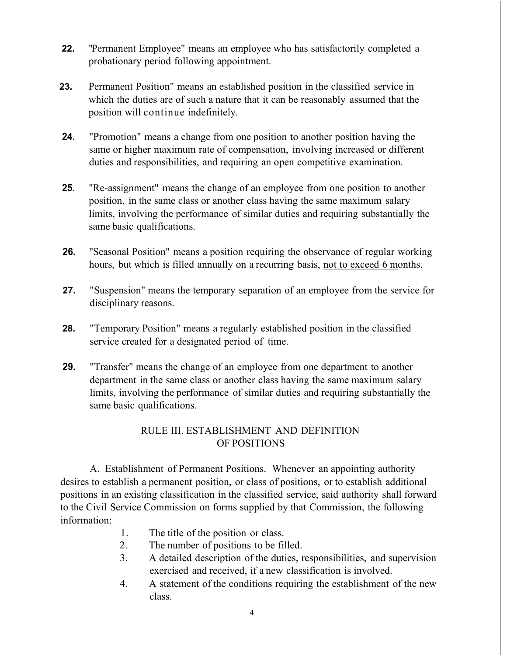- **22.** "Permanent Employee" means an employee who has satisfactorily completed a probationary period following appointment.
- **23.** Permanent Position" means an established position in the classified service in which the duties are of such a nature that it can be reasonably assumed that the position will continue indefinitely.
- **24.** "Promotion" means a change from one position to another position having the same or higher maximum rate of compensation, involving increased or different duties and responsibilities, and requiring an open competitive examination.
- **25.** "Re-assignment" means the change of an employee from one position to another position, in the same class or another class having the same maximum salary limits, involving the performance of similar duties and requiring substantially the same basic qualifications.
- **26.** "Seasonal Position" means a position requiring the observance of regular working hours, but which is filled annually on a recurring basis, not to exceed 6 months.
- **27.** "Suspension" means the temporary separation of an employee from the service for disciplinary reasons.
- **28.** "Temporary Position" means a regularly established position in the classified service created for a designated period of time.
- **29.** "Transfer" means the change of an employee from one department to another department in the same class or another class having the same maximum salary limits, involving the performance of similar duties and requiring substantially the same basic qualifications.

# RULE III. ESTABLISHMENT AND DEFINITION OF POSITIONS

A. Establishment of Permanent Positions. Whenever an appointing authority desires to establish a permanent position, or class of positions, or to establish additional positions in an existing classification in the classified service, said authority shall forward to the Civil Service Commission on forms supplied by that Commission, the following information:

- 1. The title of the position or class.
- 2. The number of positions to be filled.
- 3. A detailed description of the duties, responsibilities, and supervision exercised and received, if a new classification is involved.
- 4. A statement of the conditions requiring the establishment of the new class.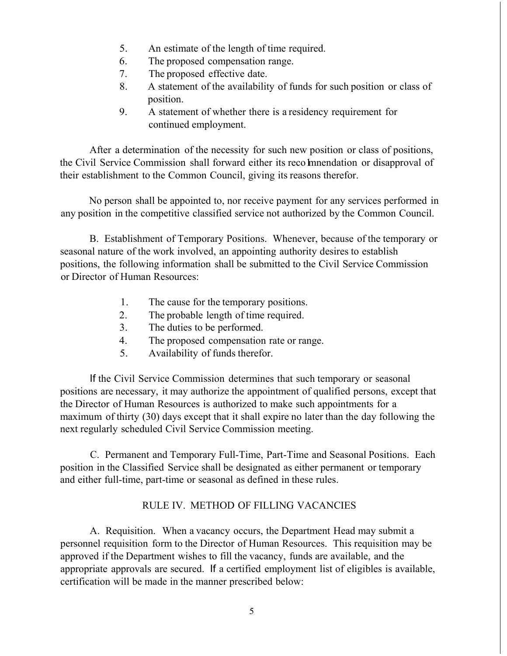- 5. An estimate of the length of time required.
- 6. The proposed compensation range.
- 7. The proposed effective date.
- 8. A statement of the availability of funds for such position or class of position.
- 9. A statement of whether there is a residency requirement for continued employment.

After a determination of the necessity for such new position or class of positions, the Civil Service Commission shall forward either its recolmnendation or disapproval of their establishment to the Common Council, giving its reasons therefor.

No person shall be appointed to, nor receive payment for any services performed in any position in the competitive classified service not authorized by the Common Council.

B. Establishment of Temporary Positions. Whenever, because of the temporary or seasonal nature of the work involved, an appointing authority desires to establish positions, the following information shall be submitted to the Civil Service Commission or Director of Human Resources:

- 1. The cause for the temporary positions.
- 2. The probable length of time required.
- 3. The duties to be performed.
- 4. The proposed compensation rate or range.
- 5. Availability of funds therefor.

If the Civil Service Commission determines that such temporary or seasonal positions are necessary, it may authorize the appointment of qualified persons, except that the Director of Human Resources is authorized to make such appointments for a maximum of thirty (30) days except that it shall expire no later than the day following the next regularly scheduled Civil Service Commission meeting.

C. Permanent and Temporary Full-Time, Part-Time and Seasonal Positions. Each position in the Classified Service shall be designated as either permanent or temporary and either full-time, part-time or seasonal as defined in these rules.

# RULE IV. METHOD OF FILLING VACANCIES

A. Requisition. When a vacancy occurs, the Department Head may submit a personnel requisition form to the Director of Human Resources. This requisition may be approved if the Department wishes to fill the vacancy, funds are available, and the appropriate approvals are secured. If a certified employment list of eligibles is available, certification will be made in the manner prescribed below: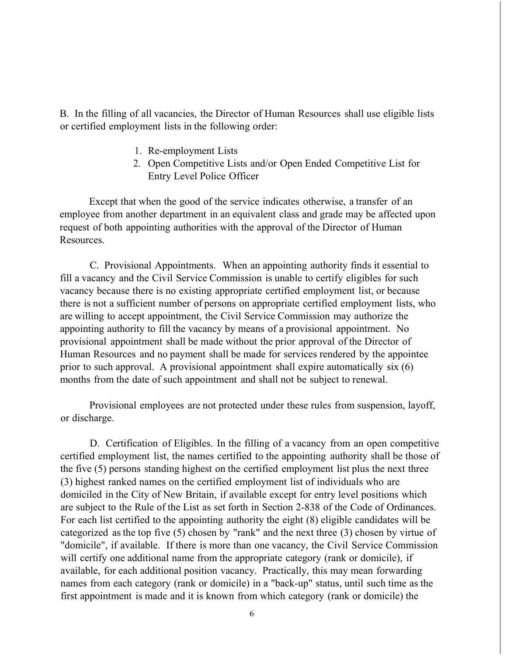B. In the filling of all vacancies, the Director of Human Resources shall use eligible lists or certified employment lists in the following order:

- 1. Re-employment Lists
- 2. Open Competitive Lists and/or Open Ended Competitive List for Entry Level Police Officer

Except that when the good of the service indicates otherwise, a transfer of an employee from another department in an equivalent class and grade may be affected upon request of both appointing authorities with the approval of the Director of Human Resources.

C. Provisional Appointments. When an appointing authority finds it essential to fill a vacancy and the Civil Service Commission is unable to certify eligibles for such vacancy because there is no existing appropriate certified employment list, or because there is not a sufficient number of persons on appropriate certified employment lists, who are willing to accept appointment, the Civil Service Commission may authorize the appointing authority to fill the vacancy by means of a provisional appointment. No provisional appointment shall be made without the prior approval of the Director of Human Resources and no payment shall be made for services rendered by the appointee prior to such approval. A provisional appointment shall expire automatically six (6) months from the date of such appointment and shall not be subject to renewal.

Provisional employees are not protected under these rules from suspension, layoff, or discharge.

D. Certification of Eligibles. In the filling of a vacancy from an open competitive certified employment list, the names certified to the appointing authority shall be those of the five (5) persons standing highest on the certified employment list plus the next three (3) highest ranked names on the certified employment list of individuals who are domiciled in the City of New Britain, if available except for entry level positions which are subject to the Rule of the List as set forth in Section 2-838 of the Code of Ordinances. For each list certified to the appointing authority the eight (8) eligible candidates will be categorized as the top five (5) chosen by "rank" and the next three (3) chosen by virtue of "domicile", if available. If there is more than one vacancy, the Civil Service Commission will certify one additional name from the appropriate category (rank or domicile), if available, for each additional position vacancy. Practically, this may mean forwarding names from each category (rank or domicile) in a "back-up" status, until such time as the first appointment is made and it is known from which category (rank or domicile) the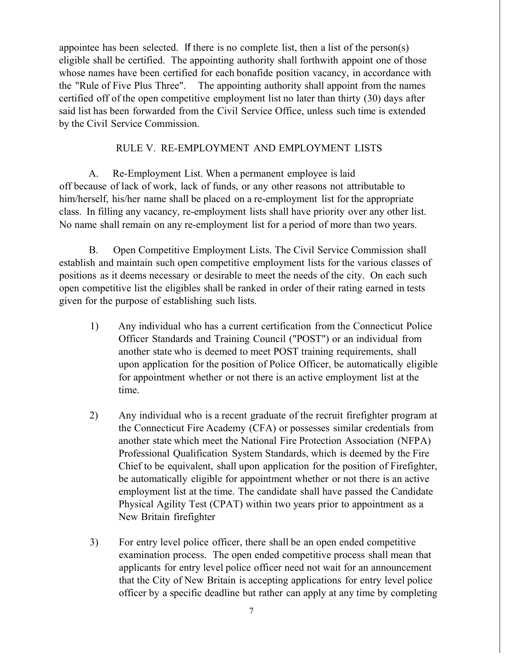appointee has been selected. If there is no complete list, then a list of the person(s) eligible shall be certified. The appointing authority shall forthwith appoint one of those whose names have been certified for each bonafide position vacancy, in accordance with the "Rule of Five Plus Three". The appointing authority shall appoint from the names certified off of the open competitive employment list no later than thirty (30) days after said list has been forwarded from the Civil Service Office, unless such time is extended by the Civil Service Commission.

## RULE V. RE-EMPLOYMENT AND EMPLOYMENT LISTS

A. Re-Employment List. When a permanent employee is laid off because of lack of work, lack of funds, or any other reasons not attributable to him/herself, his/her name shall be placed on a re-employment list for the appropriate class. In filling any vacancy, re-employment lists shall have priority over any other list. No name shall remain on any re-employment list for a period of more than two years.

B. Open Competitive Employment Lists. The Civil Service Commission shall establish and maintain such open competitive employment lists for the various classes of positions as it deems necessary or desirable to meet the needs of the city. On each such open competitive list the eligibles shall be ranked in order of their rating earned in tests given for the purpose of establishing such lists.

- 1) Any individual who has a current certification from the Connecticut Police Officer Standards and Training Council ("POST") or an individual from another state who is deemed to meet POST training requirements, shall upon application for the position of Police Officer, be automatically eligible for appointment whether or not there is an active employment list at the time.
- 2) Any individual who is a recent graduate of the recruit firefighter program at the Connecticut Fire Academy (CFA) or possesses similar credentials from another state which meet the National Fire Protection Association (NFPA) Professional Qualification System Standards, which is deemed by the Fire Chief to be equivalent, shall upon application for the position of Firefighter, be automatically eligible for appointment whether or not there is an active employment list at the time. The candidate shall have passed the Candidate Physical Agility Test (CPAT) within two years prior to appointment as a New Britain firefighter
- 3) For entry level police officer, there shall be an open ended competitive examination process. The open ended competitive process shall mean that applicants for entry level police officer need not wait for an announcement that the City of New Britain is accepting applications for entry level police officer by a specific deadline but rather can apply at any time by completing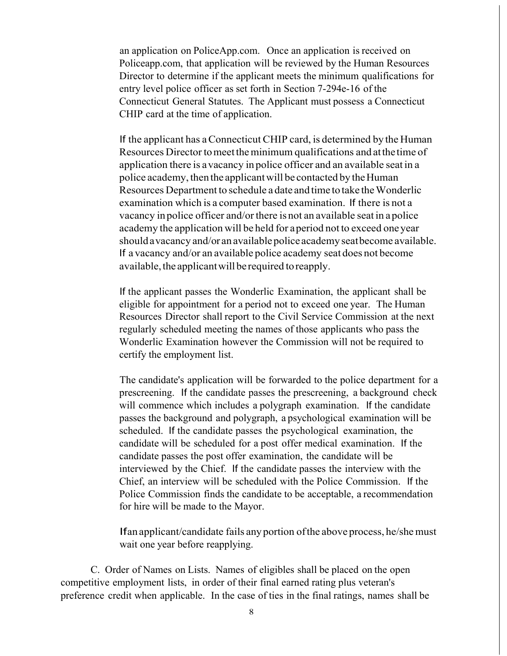an application on PoliceApp.com. Once an application is received on Policeapp.com, that application will be reviewed by the Human Resources Director to determine if the applicant meets the minimum qualifications for entry level police officer as set forth in Section 7-294e-16 of the Connecticut General Statutes. The Applicant must possess a Connecticut CHIP card at the time of application.

If the applicant has aConnecticut CHIP card, is determined by the Human Resources Director to meet the minimum qualifications and at the time of application there is avacancy in police officer and an available seat in a police academy, then the applicant will be contacted by the Human Resources Department to schedule a date and time to take theWonderlic examination which is a computer based examination. If there is not a vacancy in police officer and/orthere is not an available seat in apolice academy the application will be held for aperiod not to exceed oneyear should a vacancy and/or an available police academy seat become available. If a vacancy and/or an available police academy seat does not become available, the applicant will be required to reapply.

If the applicant passes the Wonderlic Examination, the applicant shall be eligible for appointment for a period not to exceed one year. The Human Resources Director shall report to the Civil Service Commission at the next regularly scheduled meeting the names of those applicants who pass the Wonderlic Examination however the Commission will not be required to certify the employment list.

The candidate's application will be forwarded to the police department for a prescreening. If the candidate passes the prescreening, a background check will commence which includes a polygraph examination. If the candidate passes the background and polygraph, a psychological examination will be scheduled. If the candidate passes the psychological examination, the candidate will be scheduled for a post offer medical examination. If the candidate passes the post offer examination, the candidate will be interviewed by the Chief. If the candidate passes the interview with the Chief, an interview will be scheduled with the Police Commission. If the Police Commission finds the candidate to be acceptable, a recommendation for hire will be made to the Mayor.

Ifan applicant/candidate fails anyportion ofthe above process, he/shemust wait one year before reapplying.

C. Order of Names on Lists. Names of eligibles shall be placed on the open competitive employment lists, in order of their final earned rating plus veteran's preference credit when applicable. In the case of ties in the final ratings, names shall be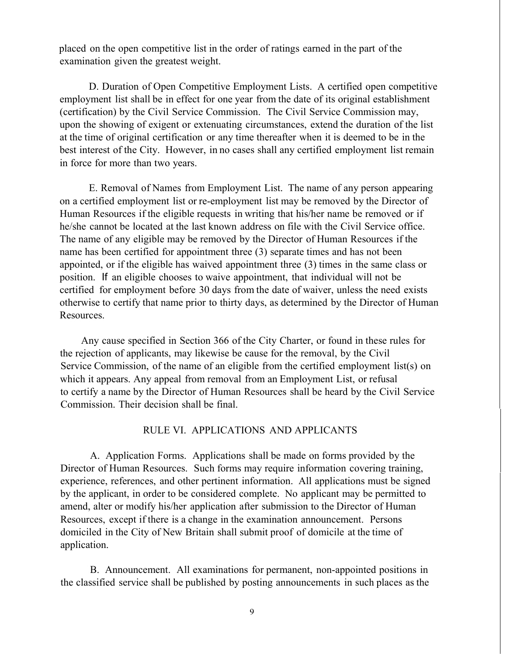placed on the open competitive list in the order of ratings earned in the part of the examination given the greatest weight.

D. Duration of Open Competitive Employment Lists. A certified open competitive employment list shall be in effect for one year from the date of its original establishment (certification) by the Civil Service Commission. The Civil Service Commission may, upon the showing of exigent or extenuating circumstances, extend the duration of the list at the time of original certification or any time thereafter when it is deemed to be in the best interest of the City. However, in no cases shall any certified employment list remain in force for more than two years.

E. Removal of Names from Employment List. The name of any person appearing on a certified employment list or re-employment list may be removed by the Director of Human Resources if the eligible requests in writing that his/her name be removed or if he/she cannot be located at the last known address on file with the Civil Service office. The name of any eligible may be removed by the Director of Human Resources if the name has been certified for appointment three (3) separate times and has not been appointed, or if the eligible has waived appointment three (3) times in the same class or position. If an eligible chooses to waive appointment, that individual will not be certified for employment before 30 days from the date of waiver, unless the need exists otherwise to certify that name prior to thirty days, as determined by the Director of Human Resources.

Any cause specified in Section 366 of the City Charter, or found in these rules for the rejection of applicants, may likewise be cause for the removal, by the Civil Service Commission, of the name of an eligible from the certified employment list(s) on which it appears. Any appeal from removal from an Employment List, or refusal to certify a name by the Director of Human Resources shall be heard by the Civil Service Commission. Their decision shall be final.

## RULE VI. APPLICATIONS AND APPLICANTS

A. Application Forms. Applications shall be made on forms provided by the Director of Human Resources. Such forms may require information covering training, experience, references, and other pertinent information. All applications must be signed by the applicant, in order to be considered complete. No applicant may be permitted to amend, alter or modify his/her application after submission to the Director of Human Resources, except if there is a change in the examination announcement. Persons domiciled in the City of New Britain shall submit proof of domicile at the time of application.

B. Announcement. All examinations for permanent, non-appointed positions in the classified service shall be published by posting announcements in such places as the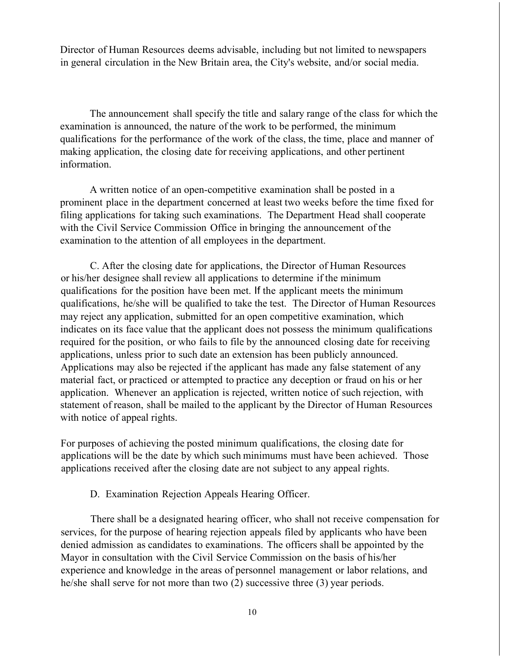Director of Human Resources deems advisable, including but not limited to newspapers in general circulation in the New Britain area, the City's website, and/or social media.

The announcement shall specify the title and salary range of the class for which the examination is announced, the nature of the work to be performed, the minimum qualifications for the performance of the work of the class, the time, place and manner of making application, the closing date for receiving applications, and other pertinent information.

A written notice of an open-competitive examination shall be posted in a prominent place in the department concerned at least two weeks before the time fixed for filing applications for taking such examinations. The Department Head shall cooperate with the Civil Service Commission Office in bringing the announcement of the examination to the attention of all employees in the department.

C. After the closing date for applications, the Director of Human Resources or his/her designee shall review all applications to determine if the minimum qualifications for the position have been met. If the applicant meets the minimum qualifications, he/she will be qualified to take the test. The Director of Human Resources may reject any application, submitted for an open competitive examination, which indicates on its face value that the applicant does not possess the minimum qualifications required for the position, or who fails to file by the announced closing date for receiving applications, unless prior to such date an extension has been publicly announced. Applications may also be rejected if the applicant has made any false statement of any material fact, or practiced or attempted to practice any deception or fraud on his or her application. Whenever an application is rejected, written notice of such rejection, with statement of reason, shall be mailed to the applicant by the Director of Human Resources with notice of appeal rights.

For purposes of achieving the posted minimum qualifications, the closing date for applications will be the date by which such minimums must have been achieved. Those applications received after the closing date are not subject to any appeal rights.

#### D. Examination Rejection Appeals Hearing Officer.

There shall be a designated hearing officer, who shall not receive compensation for services, for the purpose of hearing rejection appeals filed by applicants who have been denied admission as candidates to examinations. The officers shall be appointed by the Mayor in consultation with the Civil Service Commission on the basis of his/her experience and knowledge in the areas of personnel management or labor relations, and he/she shall serve for not more than two (2) successive three (3) year periods.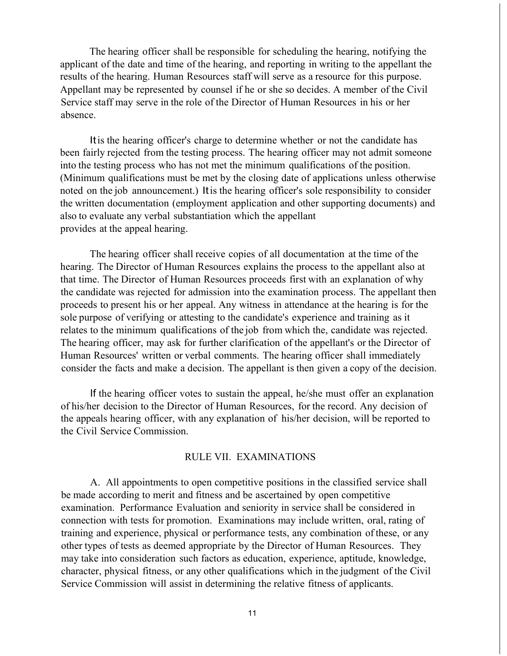The hearing officer shall be responsible for scheduling the hearing, notifying the applicant of the date and time of the hearing, and reporting in writing to the appellant the results of the hearing. Human Resources staff will serve as a resource for this purpose. Appellant may be represented by counsel if he or she so decides. A member of the Civil Service staff may serve in the role of the Director of Human Resources in his or her absence.

Itis the hearing officer's charge to determine whether or not the candidate has been fairly rejected from the testing process. The hearing officer may not admit someone into the testing process who has not met the minimum qualifications of the position. (Minimum qualifications must be met by the closing date of applications unless otherwise noted on the job announcement.) Itis the hearing officer's sole responsibility to consider the written documentation (employment application and other supporting documents) and also to evaluate any verbal substantiation which the appellant provides at the appeal hearing.

The hearing officer shall receive copies of all documentation at the time of the hearing. The Director of Human Resources explains the process to the appellant also at that time. The Director of Human Resources proceeds first with an explanation of why the candidate was rejected for admission into the examination process. The appellant then proceeds to present his or her appeal. Any witness in attendance at the hearing is for the sole purpose of verifying or attesting to the candidate's experience and training as it relates to the minimum qualifications of the job from which the, candidate was rejected. The hearing officer, may ask for further clarification of the appellant's or the Director of Human Resources' written or verbal comments. The hearing officer shall immediately consider the facts and make a decision. The appellant is then given a copy of the decision.

If the hearing officer votes to sustain the appeal, he/she must offer an explanation of his/her decision to the Director of Human Resources, for the record. Any decision of the appeals hearing officer, with any explanation of his/her decision, will be reported to the Civil Service Commission.

#### RULE VII. EXAMINATIONS

A. All appointments to open competitive positions in the classified service shall be made according to merit and fitness and be ascertained by open competitive examination. Performance Evaluation and seniority in service shall be considered in connection with tests for promotion. Examinations may include written, oral, rating of training and experience, physical or performance tests, any combination of these, or any other types of tests as deemed appropriate by the Director of Human Resources. They may take into consideration such factors as education, experience, aptitude, knowledge, character, physical fitness, or any other qualifications which in the judgment of the Civil Service Commission will assist in determining the relative fitness of applicants.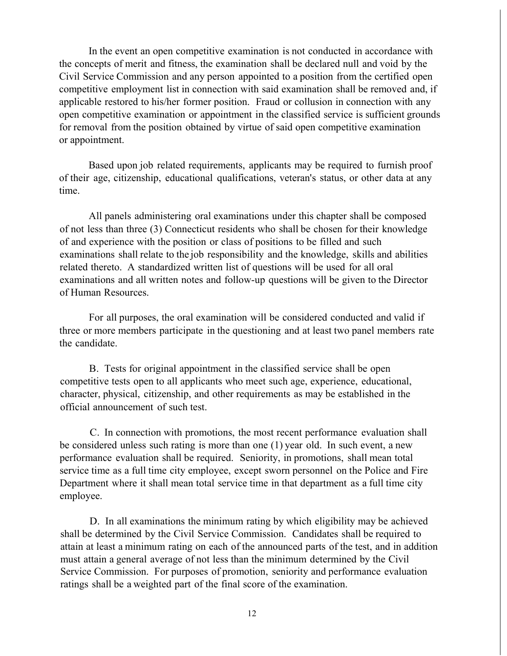In the event an open competitive examination is not conducted in accordance with the concepts of merit and fitness, the examination shall be declared null and void by the Civil Service Commission and any person appointed to a position from the certified open competitive employment list in connection with said examination shall be removed and, if applicable restored to his/her former position. Fraud or collusion in connection with any open competitive examination or appointment in the classified service is sufficient grounds for removal from the position obtained by virtue of said open competitive examination or appointment.

Based upon job related requirements, applicants may be required to furnish proof of their age, citizenship, educational qualifications, veteran's status, or other data at any time.

All panels administering oral examinations under this chapter shall be composed of not less than three (3) Connecticut residents who shall be chosen for their knowledge of and experience with the position or class of positions to be filled and such examinations shall relate to the job responsibility and the knowledge, skills and abilities related thereto. A standardized written list of questions will be used for all oral examinations and all written notes and follow-up questions will be given to the Director of Human Resources.

For all purposes, the oral examination will be considered conducted and valid if three or more members participate in the questioning and at least two panel members rate the candidate.

B. Tests for original appointment in the classified service shall be open competitive tests open to all applicants who meet such age, experience, educational, character, physical, citizenship, and other requirements as may be established in the official announcement of such test.

C. In connection with promotions, the most recent performance evaluation shall be considered unless such rating is more than one (1) year old. In such event, a new performance evaluation shall be required. Seniority, in promotions, shall mean total service time as a full time city employee, except sworn personnel on the Police and Fire Department where it shall mean total service time in that department as a full time city employee.

D. In all examinations the minimum rating by which eligibility may be achieved shall be determined by the Civil Service Commission. Candidates shall be required to attain at least a minimum rating on each of the announced parts of the test, and in addition must attain a general average of not less than the minimum determined by the Civil Service Commission. For purposes of promotion, seniority and performance evaluation ratings shall be a weighted part of the final score of the examination.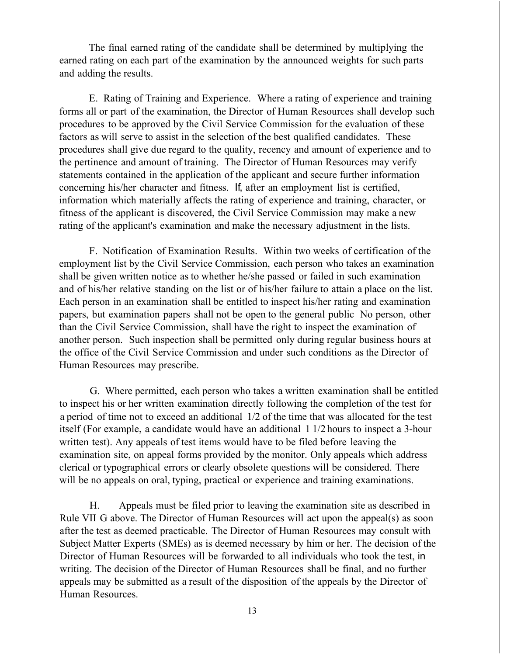The final earned rating of the candidate shall be determined by multiplying the earned rating on each part of the examination by the announced weights for such parts and adding the results.

E. Rating of Training and Experience. Where a rating of experience and training forms all or part of the examination, the Director of Human Resources shall develop such procedures to be approved by the Civil Service Commission for the evaluation of these factors as will serve to assist in the selection of the best qualified candidates. These procedures shall give due regard to the quality, recency and amount of experience and to the pertinence and amount of training. The Director of Human Resources may verify statements contained in the application of the applicant and secure further information concerning his/her character and fitness. If, after an employment list is certified, information which materially affects the rating of experience and training, character, or fitness of the applicant is discovered, the Civil Service Commission may make a new rating of the applicant's examination and make the necessary adjustment in the lists.

F. Notification of Examination Results. Within two weeks of certification of the employment list by the Civil Service Commission, each person who takes an examination shall be given written notice as to whether he/she passed or failed in such examination and of his/her relative standing on the list or of his/her failure to attain a place on the list. Each person in an examination shall be entitled to inspect his/her rating and examination papers, but examination papers shall not be open to the general public No person, other than the Civil Service Commission, shall have the right to inspect the examination of another person. Such inspection shall be permitted only during regular business hours at the office of the Civil Service Commission and under such conditions as the Director of Human Resources may prescribe.

G. Where permitted, each person who takes a written examination shall be entitled to inspect his or her written examination directly following the completion of the test for a period of time not to exceed an additional 1/2 of the time that was allocated for the test itself (For example, a candidate would have an additional 1 1/2 hours to inspect a 3-hour written test). Any appeals of test items would have to be filed before leaving the examination site, on appeal forms provided by the monitor. Only appeals which address clerical or typographical errors or clearly obsolete questions will be considered. There will be no appeals on oral, typing, practical or experience and training examinations.

H. Appeals must be filed prior to leaving the examination site as described in Rule VII G above. The Director of Human Resources will act upon the appeal(s) as soon after the test as deemed practicable. The Director of Human Resources may consult with Subject Matter Experts (SMEs) as is deemed necessary by him or her. The decision of the Director of Human Resources will be forwarded to all individuals who took the test, in writing. The decision of the Director of Human Resources shall be final, and no further appeals may be submitted as a result of the disposition of the appeals by the Director of Human Resources.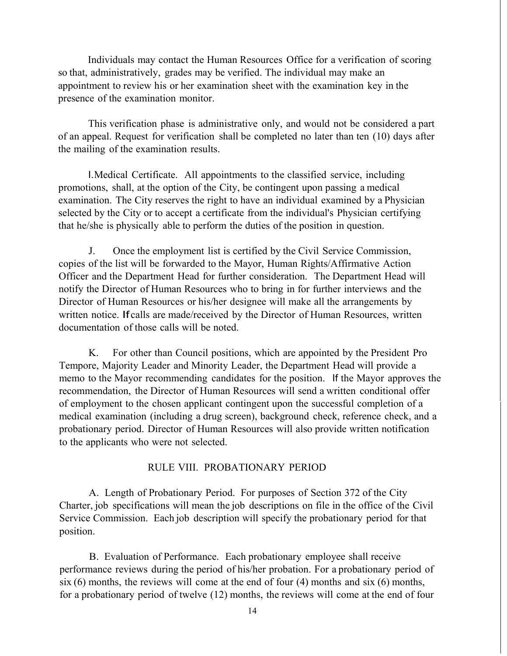Individuals may contact the Human Resources Office for a verification of scoring so that, administratively, grades may be verified. The individual may make an appointment to review his or her examination sheet with the examination key in the presence of the examination monitor.

This verification phase is administrative only, and would not be considered a part of an appeal. Request for verification shall be completed no later than ten (10) days after the mailing of the examination results.

I.Medical Certificate. All appointments to the classified service, including promotions, shall, at the option of the City, be contingent upon passing a medical examination. The City reserves the right to have an individual examined by a Physician selected by the City or to accept a certificate from the individual's Physician certifying that he/she is physically able to perform the duties of the position in question.

J. Once the employment list is certified by the Civil Service Commission, copies of the list will be forwarded to the Mayor, Human Rights/Affirmative Action Officer and the Department Head for further consideration. The Department Head will notify the Director of Human Resources who to bring in for further interviews and the Director of Human Resources or his/her designee will make all the arrangements by written notice. Ifcalls are made/received by the Director of Human Resources, written documentation of those calls will be noted.

K. For other than Council positions, which are appointed by the President Pro Tempore, Majority Leader and Minority Leader, the Department Head will provide a memo to the Mayor recommending candidates for the position. If the Mayor approves the recommendation, the Director of Human Resources will send a written conditional offer of employment to the chosen applicant contingent upon the successful completion of a medical examination (including a drug screen), background check, reference check, and a probationary period. Director of Human Resources will also provide written notification to the applicants who were not selected.

#### RULE VIII. PROBATIONARY PERIOD

A. Length of Probationary Period. For purposes of Section 372 of the City Charter, job specifications will mean the job descriptions on file in the office of the Civil Service Commission. Each job description will specify the probationary period for that position.

B. Evaluation of Performance. Each probationary employee shall receive performance reviews during the period of his/her probation. For a probationary period of six (6) months, the reviews will come at the end of four (4) months and six (6) months, for a probationary period of twelve (12) months, the reviews will come at the end of four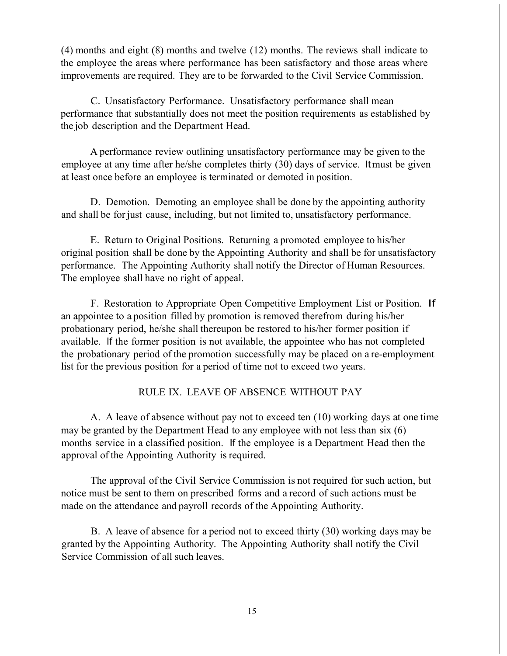(4) months and eight (8) months and twelve (12) months. The reviews shall indicate to the employee the areas where performance has been satisfactory and those areas where improvements are required. They are to be forwarded to the Civil Service Commission.

C. Unsatisfactory Performance. Unsatisfactory performance shall mean performance that substantially does not meet the position requirements as established by the job description and the Department Head.

A performance review outlining unsatisfactory performance may be given to the employee at any time after he/she completes thirty (30) days of service. Itmust be given at least once before an employee is terminated or demoted in position.

D. Demotion. Demoting an employee shall be done by the appointing authority and shall be for just cause, including, but not limited to, unsatisfactory performance.

E. Return to Original Positions. Returning a promoted employee to his/her original position shall be done by the Appointing Authority and shall be for unsatisfactory performance. The Appointing Authority shall notify the Director of Human Resources. The employee shall have no right of appeal.

F. Restoration to Appropriate Open Competitive Employment List or Position. If an appointee to a position filled by promotion is removed therefrom during his/her probationary period, he/she shall thereupon be restored to his/her former position if available. If the former position is not available, the appointee who has not completed the probationary period of the promotion successfully may be placed on a re-employment list for the previous position for a period of time not to exceed two years.

## RULE IX. LEAVE OF ABSENCE WITHOUT PAY

A. A leave of absence without pay not to exceed ten (10) working days at one time may be granted by the Department Head to any employee with not less than six (6) months service in a classified position. If the employee is a Department Head then the approval of the Appointing Authority is required.

The approval of the Civil Service Commission is not required for such action, but notice must be sent to them on prescribed forms and a record of such actions must be made on the attendance and payroll records of the Appointing Authority.

B. A leave of absence for a period not to exceed thirty (30) working days may be granted by the Appointing Authority. The Appointing Authority shall notify the Civil Service Commission of all such leaves.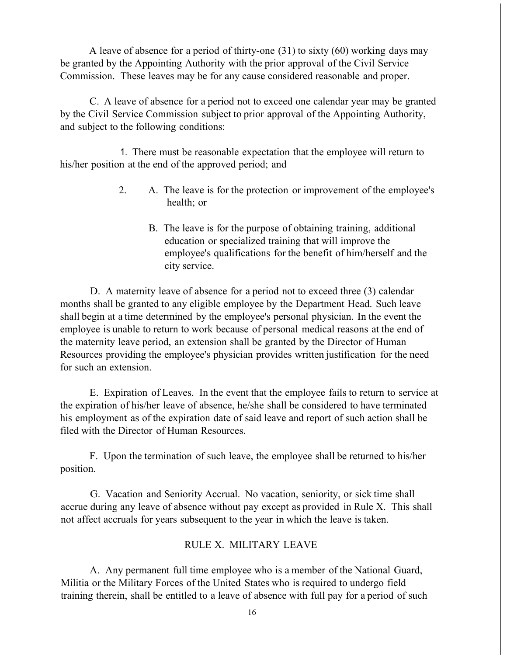A leave of absence for a period of thirty-one (31) to sixty (60) working days may be granted by the Appointing Authority with the prior approval of the Civil Service Commission. These leaves may be for any cause considered reasonable and proper.

C. A leave of absence for a period not to exceed one calendar year may be granted by the Civil Service Commission subject to prior approval of the Appointing Authority, and subject to the following conditions:

1. There must be reasonable expectation that the employee will return to his/her position at the end of the approved period; and

- 2. A. The leave is for the protection or improvement of the employee's health; or
	- B. The leave is for the purpose of obtaining training, additional education or specialized training that will improve the employee's qualifications for the benefit of him/herself and the city service.

D. A maternity leave of absence for a period not to exceed three (3) calendar months shall be granted to any eligible employee by the Department Head. Such leave shall begin at a time determined by the employee's personal physician. In the event the employee is unable to return to work because of personal medical reasons at the end of the maternity leave period, an extension shall be granted by the Director of Human Resources providing the employee's physician provides written justification for the need for such an extension.

E. Expiration of Leaves. In the event that the employee fails to return to service at the expiration of his/her leave of absence, he/she shall be considered to have terminated his employment as of the expiration date of said leave and report of such action shall be filed with the Director of Human Resources.

F. Upon the termination of such leave, the employee shall be returned to his/her position.

G. Vacation and Seniority Accrual. No vacation, seniority, or sick time shall accrue during any leave of absence without pay except as provided in Rule X. This shall not affect accruals for years subsequent to the year in which the leave is taken.

## RULE X. MILITARY LEAVE

A. Any permanent full time employee who is a member of the National Guard, Militia or the Military Forces of the United States who is required to undergo field training therein, shall be entitled to a leave of absence with full pay for a period of such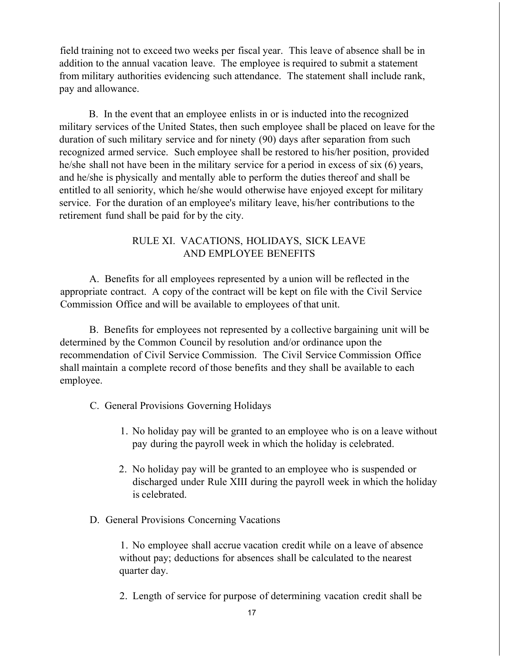field training not to exceed two weeks per fiscal year. This leave of absence shall be in addition to the annual vacation leave. The employee is required to submit a statement from military authorities evidencing such attendance. The statement shall include rank, pay and allowance.

B. In the event that an employee enlists in or is inducted into the recognized military services of the United States, then such employee shall be placed on leave for the duration of such military service and for ninety (90) days after separation from such recognized armed service. Such employee shall be restored to his/her position, provided he/she shall not have been in the military service for a period in excess of six (6) years, and he/she is physically and mentally able to perform the duties thereof and shall be entitled to all seniority, which he/she would otherwise have enjoyed except for military service. For the duration of an employee's military leave, his/her contributions to the retirement fund shall be paid for by the city.

# RULE XI. VACATIONS, HOLIDAYS, SICK LEAVE AND EMPLOYEE BENEFITS

A. Benefits for all employees represented by a union will be reflected in the appropriate contract. A copy of the contract will be kept on file with the Civil Service Commission Office and will be available to employees of that unit.

B. Benefits for employees not represented by a collective bargaining unit will be determined by the Common Council by resolution and/or ordinance upon the recommendation of Civil Service Commission. The Civil Service Commission Office shall maintain a complete record of those benefits and they shall be available to each employee.

- C. General Provisions Governing Holidays
	- 1. No holiday pay will be granted to an employee who is on a leave without pay during the payroll week in which the holiday is celebrated.
	- 2. No holiday pay will be granted to an employee who is suspended or discharged under Rule XIII during the payroll week in which the holiday is celebrated.
- D. General Provisions Concerning Vacations

1. No employee shall accrue vacation credit while on a leave of absence without pay; deductions for absences shall be calculated to the nearest quarter day.

2. Length of service for purpose of determining vacation credit shall be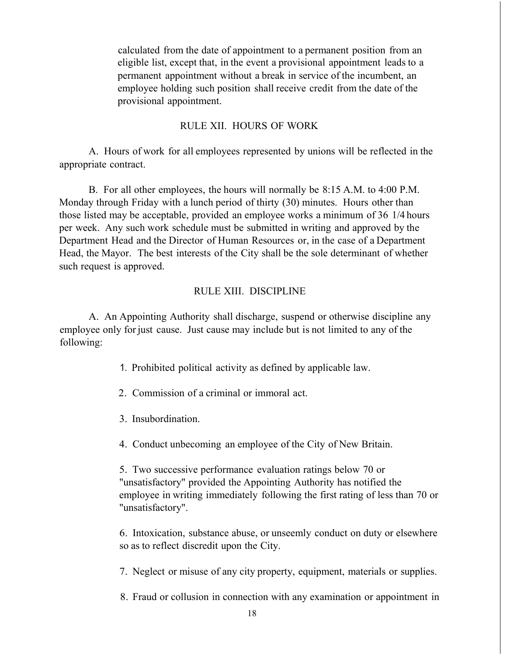calculated from the date of appointment to a permanent position from an eligible list, except that, in the event a provisional appointment leads to a permanent appointment without a break in service of the incumbent, an employee holding such position shall receive credit from the date of the provisional appointment.

## RULE XII. HOURS OF WORK

A. Hours of work for all employees represented by unions will be reflected in the appropriate contract.

B. For all other employees, the hours will normally be 8:15 A.M. to 4:00 P.M. Monday through Friday with a lunch period of thirty (30) minutes. Hours other than those listed may be acceptable, provided an employee works a minimum of 36 1/4 hours per week. Any such work schedule must be submitted in writing and approved by the Department Head and the Director of Human Resources or, in the case of a Department Head, the Mayor. The best interests of the City shall be the sole determinant of whether such request is approved.

## RULE XIII. DISCIPLINE

A. An Appointing Authority shall discharge, suspend or otherwise discipline any employee only for just cause. Just cause may include but is not limited to any of the following:

- 1. Prohibited political activity as defined by applicable law.
- 2. Commission of a criminal or immoral act.
- 3. Insubordination.
- 4. Conduct unbecoming an employee of the City of New Britain.

5. Two successive performance evaluation ratings below 70 or "unsatisfactory" provided the Appointing Authority has notified the employee in writing immediately following the first rating of less than 70 or "unsatisfactory".

6. Intoxication, substance abuse, or unseemly conduct on duty or elsewhere so as to reflect discredit upon the City.

7. Neglect or misuse of any city property, equipment, materials or supplies.

8. Fraud or collusion in connection with any examination or appointment in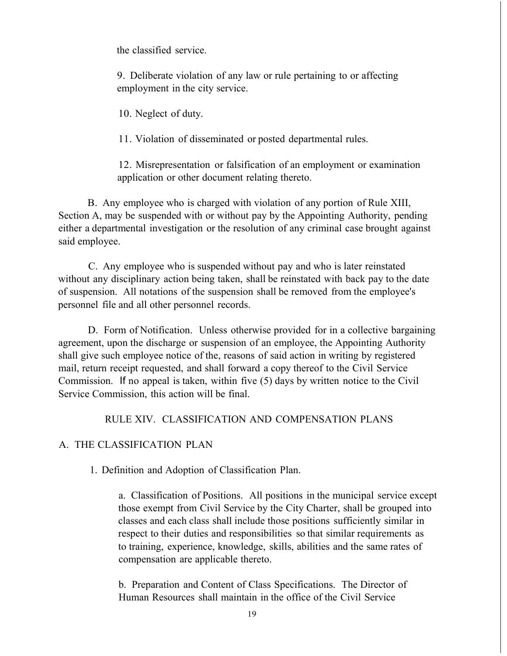the classified service.

9. Deliberate violation of any law or rule pertaining to or affecting employment in the city service.

10. Neglect of duty.

11. Violation of disseminated or posted departmental rules.

12. Misrepresentation or falsification of an employment or examination application or other document relating thereto.

B. Any employee who is charged with violation of any portion of Rule XIII, Section A, may be suspended with or without pay by the Appointing Authority, pending either a departmental investigation or the resolution of any criminal case brought against said employee.

C. Any employee who is suspended without pay and who is later reinstated without any disciplinary action being taken, shall be reinstated with back pay to the date of suspension. All notations of the suspension shall be removed from the employee's personnel file and all other personnel records.

D. Form of Notification. Unless otherwise provided for in a collective bargaining agreement, upon the discharge or suspension of an employee, the Appointing Authority shall give such employee notice of the, reasons of said action in writing by registered mail, return receipt requested, and shall forward a copy thereof to the Civil Service Commission. If no appeal is taken, within five (5) days by written notice to the Civil Service Commission, this action will be final.

## RULE XIV. CLASSIFICATION AND COMPENSATION PLANS

# A. THE CLASSIFICATION PLAN

1. Definition and Adoption of Classification Plan.

a. Classification of Positions. All positions in the municipal service except those exempt from Civil Service by the City Charter, shall be grouped into classes and each class shall include those positions sufficiently similar in respect to their duties and responsibilities so that similar requirements as to training, experience, knowledge, skills, abilities and the same rates of compensation are applicable thereto.

b. Preparation and Content of Class Specifications. The Director of Human Resources shall maintain in the office of the Civil Service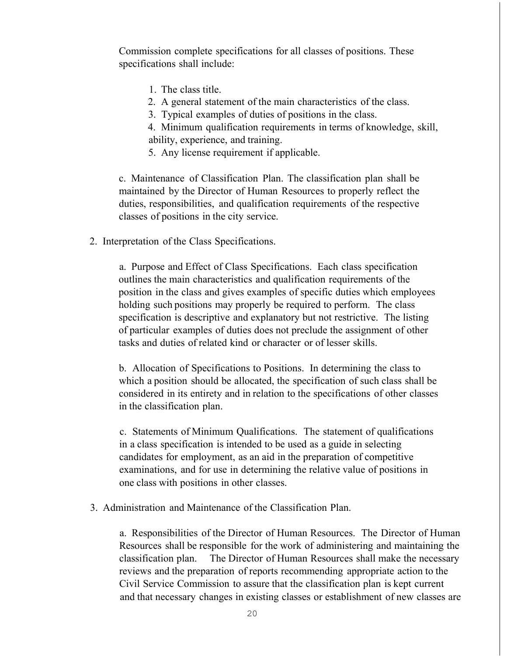Commission complete specifications for all classes of positions. These specifications shall include:

- 1. The class title.
- 2. A general statement of the main characteristics of the class.
- 3. Typical examples of duties of positions in the class.

4. Minimum qualification requirements in terms of knowledge, skill, ability, experience, and training.

5. Any license requirement if applicable.

c. Maintenance of Classification Plan. The classification plan shall be maintained by the Director of Human Resources to properly reflect the duties, responsibilities, and qualification requirements of the respective classes of positions in the city service.

2. Interpretation of the Class Specifications.

a. Purpose and Effect of Class Specifications. Each class specification outlines the main characteristics and qualification requirements of the position in the class and gives examples of specific duties which employees holding such positions may properly be required to perform. The class specification is descriptive and explanatory but not restrictive. The listing of particular examples of duties does not preclude the assignment of other tasks and duties of related kind or character or of lesser skills.

b. Allocation of Specifications to Positions. In determining the class to which a position should be allocated, the specification of such class shall be considered in its entirety and in relation to the specifications of other classes in the classification plan.

c. Statements of Minimum Qualifications. The statement of qualifications in a class specification is intended to be used as a guide in selecting candidates for employment, as an aid in the preparation of competitive examinations, and for use in determining the relative value of positions in one class with positions in other classes.

3. Administration and Maintenance of the Classification Plan.

a. Responsibilities of the Director of Human Resources. The Director of Human Resources shall be responsible for the work of administering and maintaining the classification plan. The Director of Human Resources shall make the necessary reviews and the preparation of reports recommending appropriate action to the Civil Service Commission to assure that the classification plan is kept current and that necessary changes in existing classes or establishment of new classes are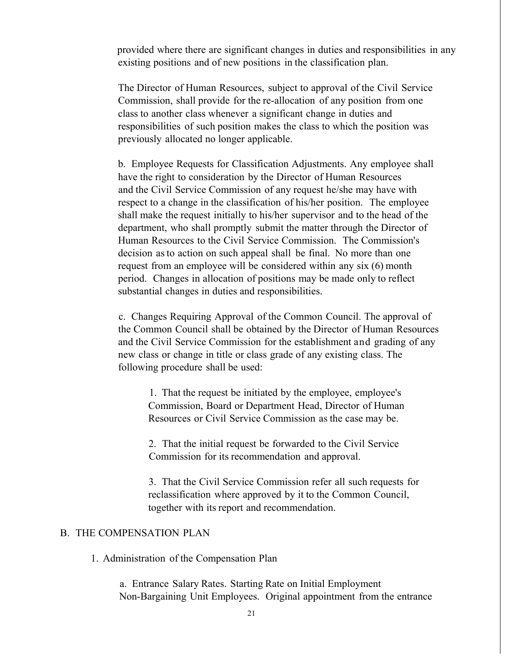provided where there are significant changes in duties and responsibilities in any existing positions and of new positions in the classification plan.

The Director of Human Resources, subject to approval of the Civil Service Commission, shall provide for the re-allocation of any position from one class to another class whenever a significant change in duties and responsibilities of such position makes the class to which the position was previously allocated no longer applicable.

b. Employee Requests for Classification Adjustments. Any employee shall have the right to consideration by the Director of Human Resources and the Civil Service Commission of any request he/she may have with respect to a change in the classification of his/her position. The employee shall make the request initially to his/her supervisor and to the head of the department, who shall promptly submit the matter through the Director of Human Resources to the Civil Service Commission. The Commission's decision asto action on such appeal shall be final. No more than one request from an employee will be considered within any six (6) month period. Changes in allocation of positions may be made only to reflect substantial changes in duties and responsibilities.

c. Changes Requiring Approval of the Common Council. The approval of the Common Council shall be obtained by the Director of Human Resources and the Civil Service Commission for the establishment and grading of any new class or change in title or class grade of any existing class. The following procedure shall be used:

1. That the request be initiated by the employee, employee's Commission, Board or Department Head, Director of Human Resources or Civil Service Commission as the case may be.

2. That the initial request be forwarded to the Civil Service Commission for its recommendation and approval.

3. That the Civil Service Commission refer all such requests for reclassification where approved by it to the Common Council, together with its report and recommendation.

## B. THE COMPENSATION PLAN

1. Administration of the Compensation Plan

a. Entrance Salary Rates. Starting Rate on Initial Employment Non-Bargaining Unit Employees. Original appointment from the entrance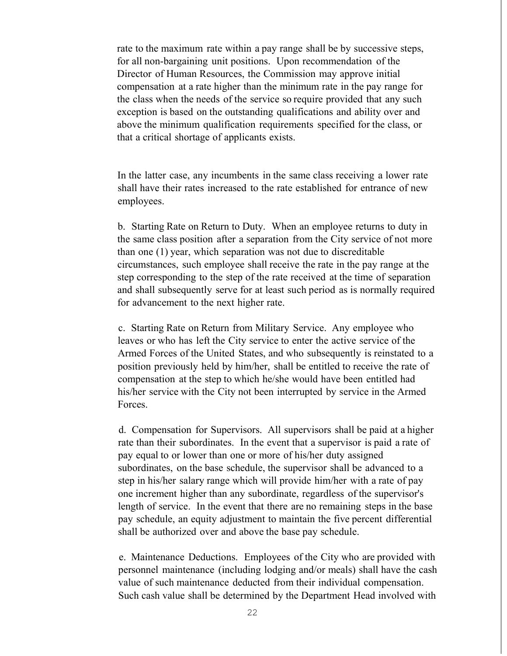rate to the maximum rate within a pay range shall be by successive steps, for all non-bargaining unit positions. Upon recommendation of the Director of Human Resources, the Commission may approve initial compensation at a rate higher than the minimum rate in the pay range for the class when the needs of the service so require provided that any such exception is based on the outstanding qualifications and ability over and above the minimum qualification requirements specified for the class, or that a critical shortage of applicants exists.

In the latter case, any incumbents in the same class receiving a lower rate shall have their rates increased to the rate established for entrance of new employees.

b. Starting Rate on Return to Duty. When an employee returns to duty in the same class position after a separation from the City service of not more than one (1) year, which separation was not due to discreditable circumstances, such employee shall receive the rate in the pay range at the step corresponding to the step of the rate received at the time of separation and shall subsequently serve for at least such period as is normally required for advancement to the next higher rate.

c. Starting Rate on Return from Military Service. Any employee who leaves or who has left the City service to enter the active service of the Armed Forces of the United States, and who subsequently is reinstated to a position previously held by him/her, shall be entitled to receive the rate of compensation at the step to which he/she would have been entitled had his/her service with the City not been interrupted by service in the Armed Forces.

d. Compensation for Supervisors. All supervisors shall be paid at a higher rate than their subordinates. In the event that a supervisor is paid a rate of pay equal to or lower than one or more of his/her duty assigned subordinates, on the base schedule, the supervisor shall be advanced to a step in his/her salary range which will provide him/her with a rate of pay one increment higher than any subordinate, regardless of the supervisor's length of service. In the event that there are no remaining steps in the base pay schedule, an equity adjustment to maintain the five percent differential shall be authorized over and above the base pay schedule.

e. Maintenance Deductions. Employees of the City who are provided with personnel maintenance (including lodging and/or meals) shall have the cash value of such maintenance deducted from their individual compensation. Such cash value shall be determined by the Department Head involved with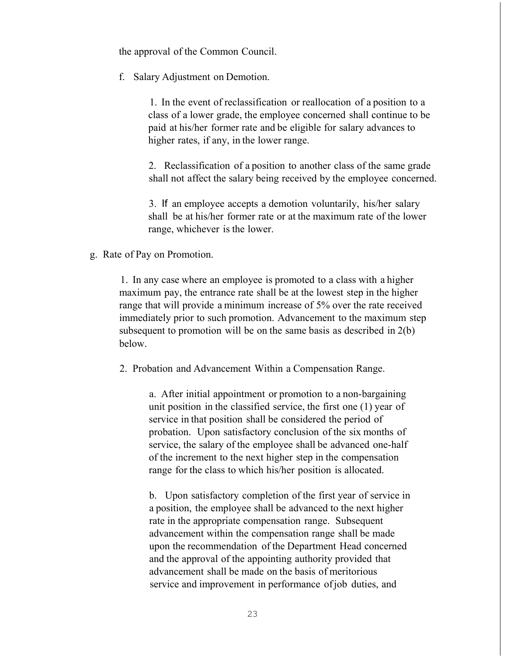the approval of the Common Council.

f. Salary Adjustment on Demotion.

1. In the event of reclassification or reallocation of a position to a class of a lower grade, the employee concerned shall continue to be paid at his/her former rate and be eligible for salary advances to higher rates, if any, in the lower range.

2. Reclassification of a position to another class of the same grade shall not affect the salary being received by the employee concerned.

3. If an employee accepts a demotion voluntarily, his/her salary shall be at his/her former rate or at the maximum rate of the lower range, whichever is the lower.

g. Rate of Pay on Promotion.

1. In any case where an employee is promoted to a class with a higher maximum pay, the entrance rate shall be at the lowest step in the higher range that will provide a minimum increase of 5% over the rate received immediately prior to such promotion. Advancement to the maximum step subsequent to promotion will be on the same basis as described in 2(b) below.

2. Probation and Advancement Within a Compensation Range.

a. After initial appointment or promotion to a non-bargaining unit position in the classified service, the first one (1) year of service in that position shall be considered the period of probation. Upon satisfactory conclusion of the six months of service, the salary of the employee shall be advanced one-half of the increment to the next higher step in the compensation range for the class to which his/her position is allocated.

b. Upon satisfactory completion of the first year of service in a position, the employee shall be advanced to the next higher rate in the appropriate compensation range. Subsequent advancement within the compensation range shall be made upon the recommendation of the Department Head concerned and the approval of the appointing authority provided that advancement shall be made on the basis of meritorious service and improvement in performance of job duties, and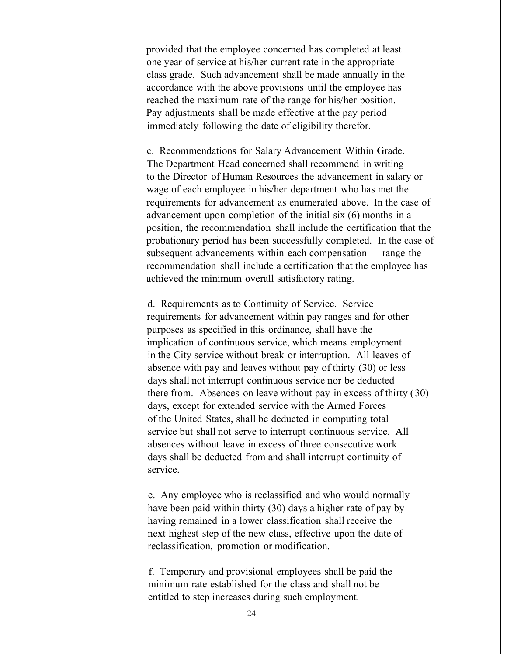provided that the employee concerned has completed at least one year of service at his/her current rate in the appropriate class grade. Such advancement shall be made annually in the accordance with the above provisions until the employee has reached the maximum rate of the range for his/her position. Pay adjustments shall be made effective at the pay period immediately following the date of eligibility therefor.

c. Recommendations for Salary Advancement Within Grade. The Department Head concerned shall recommend in writing to the Director of Human Resources the advancement in salary or wage of each employee in his/her department who has met the requirements for advancement as enumerated above. In the case of advancement upon completion of the initial six (6) months in a position, the recommendation shall include the certification that the probationary period has been successfully completed. In the case of subsequent advancements within each compensation range the recommendation shall include a certification that the employee has achieved the minimum overall satisfactory rating.

d. Requirements as to Continuity of Service. Service requirements for advancement within pay ranges and for other purposes as specified in this ordinance, shall have the implication of continuous service, which means employment in the City service without break or interruption. All leaves of absence with pay and leaves without pay of thirty (30) or less days shall not interrupt continuous service nor be deducted there from. Absences on leave without pay in excess of thirty (30) days, except for extended service with the Armed Forces of the United States, shall be deducted in computing total service but shall not serve to interrupt continuous service. All absences without leave in excess of three consecutive work days shall be deducted from and shall interrupt continuity of service.

e. Any employee who is reclassified and who would normally have been paid within thirty (30) days a higher rate of pay by having remained in a lower classification shall receive the next highest step of the new class, effective upon the date of reclassification, promotion or modification.

f. Temporary and provisional employees shall be paid the minimum rate established for the class and shall not be entitled to step increases during such employment.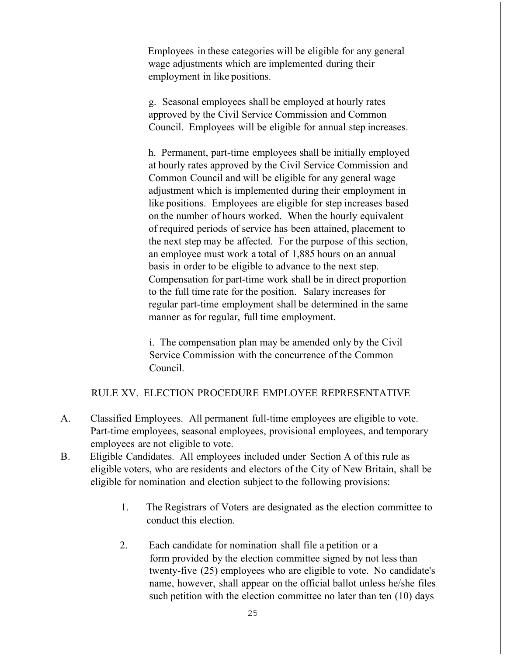Employees in these categories will be eligible for any general wage adjustments which are implemented during their employment in like positions.

g. Seasonal employees shall be employed at hourly rates approved by the Civil Service Commission and Common Council. Employees will be eligible for annual step increases.

h. Permanent, part-time employees shall be initially employed at hourly rates approved by the Civil Service Commission and Common Council and will be eligible for any general wage adjustment which is implemented during their employment in like positions. Employees are eligible for step increases based on the number of hours worked. When the hourly equivalent of required periods of service has been attained, placement to the next step may be affected. For the purpose of this section, an employee must work a total of 1,885 hours on an annual basis in order to be eligible to advance to the next step. Compensation for part-time work shall be in direct proportion to the full time rate for the position. Salary increases for regular part-time employment shall be determined in the same manner as for regular, full time employment.

i. The compensation plan may be amended only by the Civil Service Commission with the concurrence of the Common Council.

## RULE XV. ELECTION PROCEDURE EMPLOYEE REPRESENTATIVE

- A. Classified Employees. All permanent full-time employees are eligible to vote. Part-time employees, seasonal employees, provisional employees, and temporary employees are not eligible to vote.
- B. Eligible Candidates. All employees included under Section A of this rule as eligible voters, who are residents and electors of the City of New Britain, shall be eligible for nomination and election subject to the following provisions:
	- 1. The Registrars of Voters are designated as the election committee to conduct this election.
	- 2. Each candidate for nomination shall file a petition or a form provided by the election committee signed by not less than twenty-five (25) employees who are eligible to vote. No candidate's name, however, shall appear on the official ballot unless he/she files such petition with the election committee no later than ten (10) days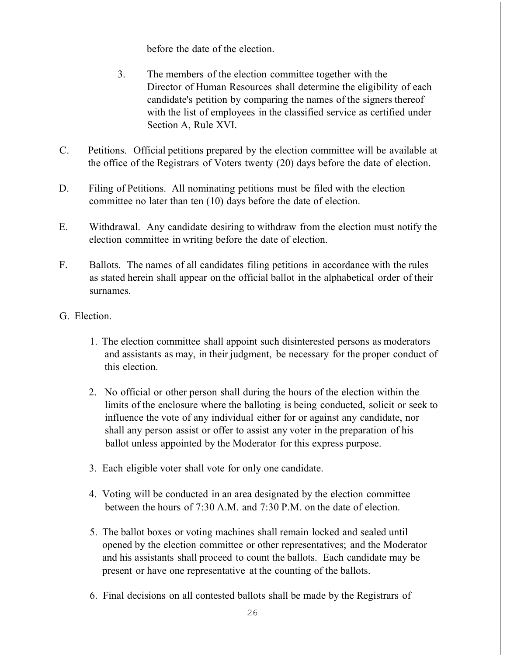before the date of the election.

- 3. The members of the election committee together with the Director of Human Resources shall determine the eligibility of each candidate's petition by comparing the names of the signers thereof with the list of employees in the classified service as certified under Section A, Rule XVI.
- C. Petitions. Official petitions prepared by the election committee will be available at the office of the Registrars of Voters twenty (20) days before the date of election.
- D. Filing of Petitions. All nominating petitions must be filed with the election committee no later than ten (10) days before the date of election.
- E. Withdrawal. Any candidate desiring to withdraw from the election must notify the election committee in writing before the date of election.
- F. Ballots. The names of all candidates filing petitions in accordance with the rules as stated herein shall appear on the official ballot in the alphabetical order of their surnames.
- G. Election.
	- 1. The election committee shall appoint such disinterested persons as moderators and assistants as may, in their judgment, be necessary for the proper conduct of this election.
	- 2. No official or other person shall during the hours of the election within the limits of the enclosure where the balloting is being conducted, solicit or seek to influence the vote of any individual either for or against any candidate, nor shall any person assist or offer to assist any voter in the preparation of his ballot unless appointed by the Moderator for this express purpose.
	- 3. Each eligible voter shall vote for only one candidate.
	- 4. Voting will be conducted in an area designated by the election committee between the hours of 7:30 A.M. and 7:30 P.M. on the date of election.
	- 5. The ballot boxes or voting machines shall remain locked and sealed until opened by the election committee or other representatives; and the Moderator and his assistants shall proceed to count the ballots. Each candidate may be present or have one representative at the counting of the ballots.
	- 6. Final decisions on all contested ballots shall be made by the Registrars of